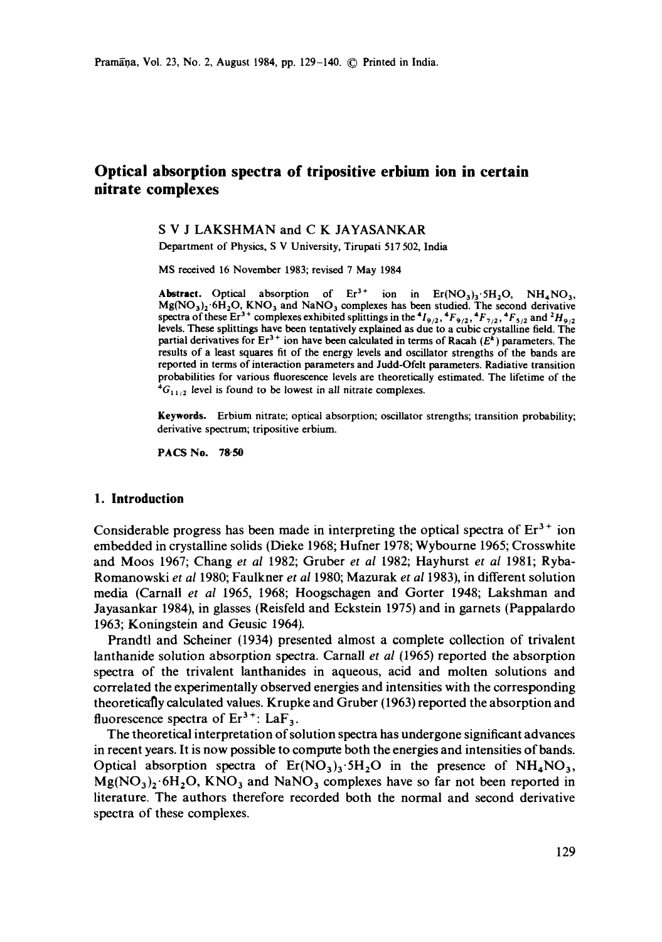# **Optical absorption spectra of tripositive erbium ion in certain nitrate complexes**

## S V J LAKSHMAN and C K JAYASANKAR

Department of Physics, S V University, Tirupati 517 502, India

MS received 16 November 1983; revised 7 May 1984

Abstract. Optical absorption of  $Er^{3+}$  ion in  $Er(NO_3)_3.5H_2O$ ,  $NH_4NO_3$ ,  $Mg(NO<sub>3</sub>)<sub>2</sub> 6H<sub>2</sub>O$ , KNO<sub>3</sub> and NaNO<sub>3</sub> complexes has been studied. The second derivative spectra of these  $Er^{3+}$  complexes exhibited splittings in the  $^{4}I_{9/2}$ ,  $^{4}F_{9/2}$ ,  $^{4}F_{7/2}$ ,  $^{4}F_{5/2}$  and  $^{2}H_{9/2}$ levels. These splittings have been tentatively explained as due to a cubic crystalline field. The partial derivatives for  $Er^{3+}$  ion have been calculated in terms of Racah  $(E^k)$  parameters. The results of a least squares fit of the energy levels and oscillator strengths of the bands are reported in terms of interaction parameters and Judd-Ofelt parameters. Radiative transition probabilities for various fluorescence levels are theoretically estimated. The lifetime of the  ${}^4G_{11/2}$  level is found to be lowest in all nitrate complexes.

**Keywords.** Erbium nitrate; optical absorption; oscillator strengths; transition probability; derivative spectrum; tripositive erbium.

**PACS No. 78.50** 

#### **1. Introduction**

Considerable progress has been made in interpreting the optical spectra of  $Er<sup>3+</sup>$  ion embedded in crystalline solids (Dieke 1968; Hufner 1978; Wybourne 1965; Crosswhite and Moos 1967; Chang *et al* 1982; Gruber *et al* 1982; Hayhurst *et al* 1981; Ryba-Romanowski *et al* 1980; Faulkner *et al* 1980; Mazurak *et al* 1983), in different solution media (Carnall *et al* 1965, 1968; Hoogschagen and Gorter 1948; Lakshman and Jayasankar 1984), in glasses (Reisfeld and Eckstein 1975) and in garnets (Pappalardo 1963; Koningstein and Geusic 1964).

Prandtl and Scheiner (1934) presented almost a complete collection of trivalent lanthanide solution absorption spectra. Carnall *et al* (1965) reported the absorption spectra of the trivalent lanthanides in aqueous, acid and molten solutions and correlated the experimentally observed energies and intensities with the corresponding theoretically calculated values. Krupke and Gruber (1963) reported the absorption and fluorescence spectra of  $Er^{3+}$ : LaF<sub>3</sub>.

The theoretical interpretation of solution spectra has undergone significant advances in recent years. It is now possible to compute both the energies and intensities of bands. Optical absorption spectra of  $Er(NO<sub>3</sub>)<sub>3</sub>·5H<sub>2</sub>O$  in the presence of  $NH<sub>4</sub>NO<sub>3</sub>$ ,  $Mg(NO<sub>3</sub>)<sub>2</sub>·6H<sub>2</sub>O$ , KNO<sub>3</sub> and NaNO<sub>3</sub> complexes have so far not been reported in literature. The authors therefore recorded both the normal and second derivative spectra of these complexes.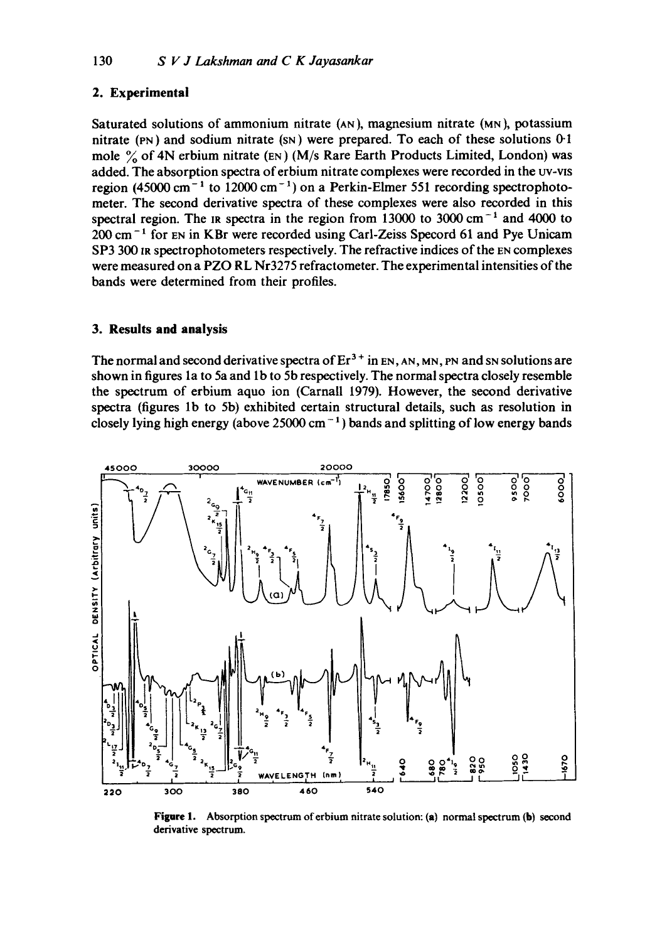# **2. Experimental**

Saturated solutions of ammonium nitrate (AN), magnesium nitrate (MN), potassium nitrate (PN) and sodium nitrate (SN) were prepared. To each of these solutions 0-1 mole  $\%$  of 4N erbium nitrate (EN) (M/s Rare Earth Products Limited, London) was added. The absorption spectra of erbium nitrate complexes were recorded in the uv-vis region (45000 cm<sup>-1</sup> to 12000 cm<sup>-1</sup>) on a Perkin-Elmer 551 recording spectrophotometer. The second derivative spectra of these complexes were also recorded in this spectral region. The in spectra in the region from  $13000$  to  $3000 \text{ cm}^{-1}$  and 4000 to  $200 \text{ cm}^{-1}$  for EN in KBr were recorded using Carl-Zeiss Specord 61 and Pye Unicam SP3 300 IR spectrophotometers respectively. The refractive indices of the EN complexes were measured on a PZO RL Nr3275 refractometer. The experimental intensities of the bands were determined from their profiles.

## **3. Results and analysis**

The normal and second derivative spectra of  $Er^{3+}$  in  $EN, AN, MN, PN$  and SN solutions are shown in figures la to 5a and lb to 5b respectively. The normal spectra closely resemble the spectrum of erbium aquo ion (Carnall 1979). However, the second derivative spectra (figures lb to 5b) exhibited certain structural details, such as resolution in closely lying high energy (above 25000 cm<sup>-1</sup>) bands and splitting of low energy bands



Figure 1. Absorption spectrum of erbium nitrate solution: (a) normal spectrum (b) second derivative spectrum.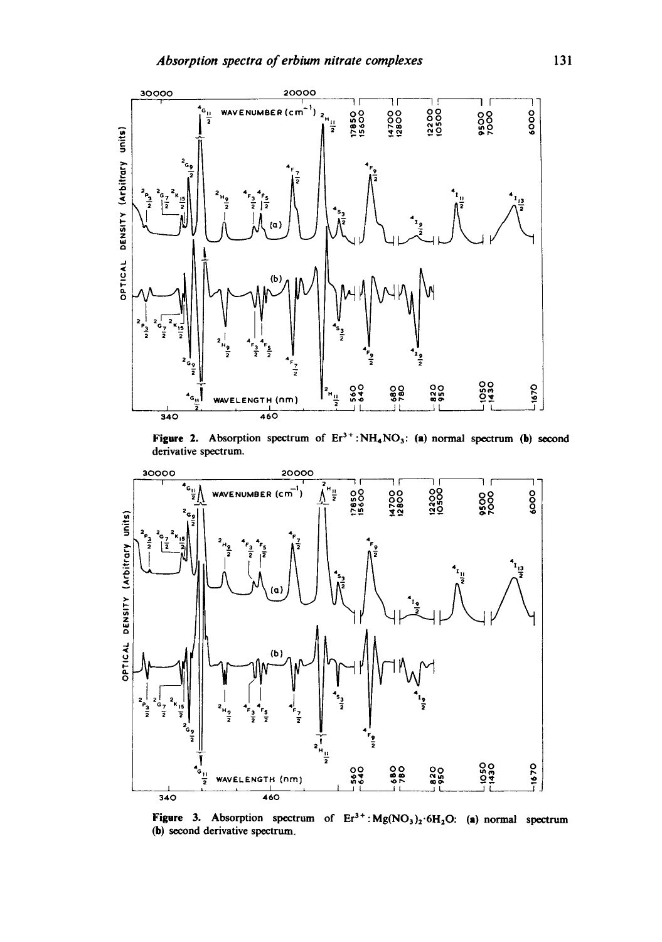

**Figure 2.** Absorption spectrum of  $Er^{3+} : NH_4NO_3$ : (a) normal spectrum (b) second derivative spectrum.



**Figure 3.** Absorption spectrum of  $Er^{3+}$ :  $Mg(NO_3)_2$ : 6H<sub>2</sub>O: (a) normal spectrum (b) second derivative spectrum.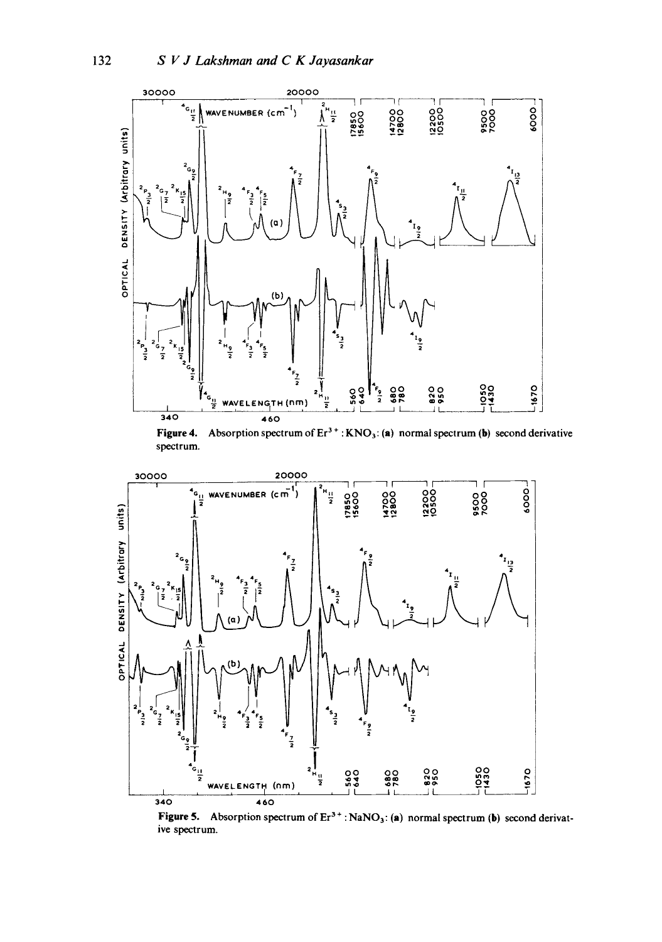132



Figure 4. Absorption spectrum of  $Er^{3+}$ : KNO<sub>3</sub>: (a) normal spectrum (b) second derivative spectrum.



Figure 5. Absorption spectrum of  $Er^{3+}$ : NaNO<sub>3</sub>: (a) normal spectrum (b) second derivative spectrum.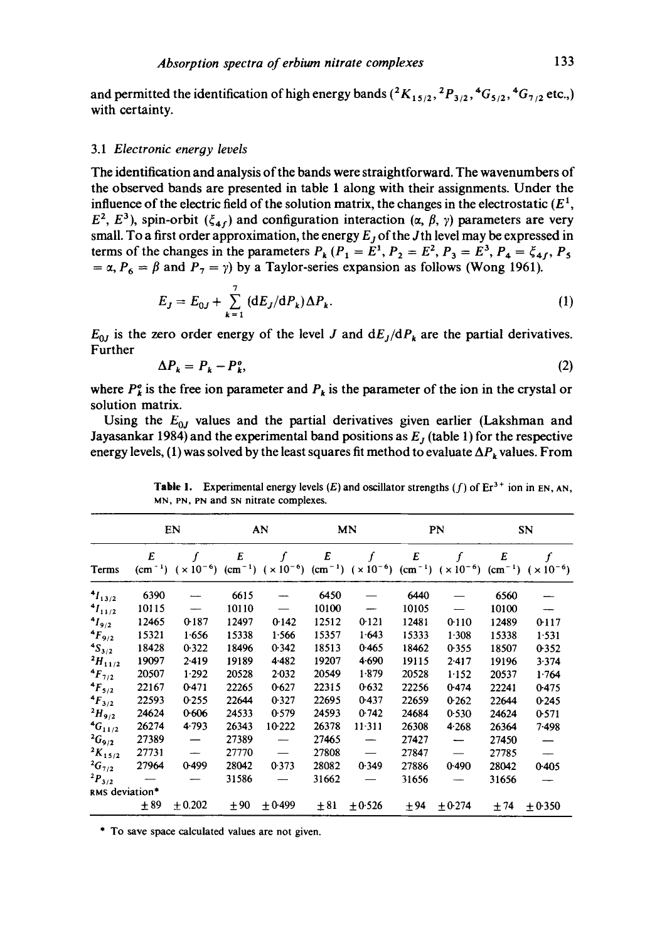and permitted the identification of high energy bands  $({^2}K_{15/2}, {^2}P_{3/2}, {^4}G_{5/2}, {^4}G_{7/2}$  etc.,) with certainty.

#### 3.1 *Electronic energy levels*

The identification and analysis of the bands were straightforward. The wavenumbers of the observed bands are presented in table 1 along with their assignments. Under the influence of the electric field of the solution matrix, the changes in the electrostatic  $(E^1)$ ,  $E^2$ ,  $E^3$ ), spin-orbit  $(\xi_{4f})$  and configuration interaction ( $\alpha$ ,  $\beta$ ,  $\gamma$ ) parameters are very small. To a first order approximation, the energy  $E_j$  of the Jth level may be expressed in terms of the changes in the parameters  $P_k (P_1 = E^1, P_2 = E^2, P_3 = E^3, P_4 = \xi_{4f}, P_5$ =  $\alpha$ ,  $P_6 = \beta$  and  $P_7 = \gamma$ ) by a Taylor-series expansion as follows (Wong 1961).

$$
E_J = E_{0J} + \sum_{k=1}^{7} (dE_J/dP_k) \Delta P_k.
$$
 (1)

 $E_{0J}$  is the zero order energy of the level J and  $dE_J/dP_k$  are the partial derivatives. Further

$$
\Delta P_k = P_k - P_k^o,\tag{2}
$$

where  $P_k^o$  is the free ion parameter and  $P_k$  is the parameter of the ion in the crystal or solution matrix.

Using the  $E_{0J}$  values and the partial derivatives given earlier (Lakshman and Jayasankar 1984) and the experimental band positions as  $E<sub>J</sub>$  (table 1) for the respective energy levels, (1) was solved by the least squares fit method to evaluate  $\Delta P_k$  values. From

|                  |       | EN      |       | AN        |       | MN                                                                                                                                                                        |       | PN        |       | SN     |
|------------------|-------|---------|-------|-----------|-------|---------------------------------------------------------------------------------------------------------------------------------------------------------------------------|-------|-----------|-------|--------|
| Terms            | E     |         | E     | f         | E     | (cm <sup>-1</sup> ) $(x 10^{-6})$ (cm <sup>-1</sup> ) $(x 10^{-6})$ (cm <sup>-1</sup> ) $(x 10^{-6})$ (cm <sup>-1</sup> ) $(x 10^{-6})$ (cm <sup>-1</sup> ) $(x 10^{-6})$ | E     |           | E     |        |
| $4I_{13/2}$      | 6390  |         | 6615  |           | 6450  |                                                                                                                                                                           | 6440  |           | 6560  |        |
| $^{4}I_{11/2}$   | 10115 |         | 10110 |           | 10100 |                                                                                                                                                                           | 10105 |           | 10100 |        |
| $4I_{9/2}$       | 12465 | 0-187   | 12497 | 0.142     | 12512 | 0.121                                                                                                                                                                     | 12481 | 0.110     | 12489 | 0.117  |
| $4F_{9/2}$       | 15321 | 1.656   | 15338 | 1.566     | 15357 | 1.643                                                                                                                                                                     | 15333 | 1.308     | 15338 | 1.531  |
| $4S_{3/2}$       | 18428 | 0.322   | 18496 | 0.342     | 18513 | 0.465                                                                                                                                                                     | 18462 | 0.355     | 18507 | 0.352  |
| $^{2}H_{11/2}$   | 19097 | 2.419   | 19189 | 4.482     | 19207 | 4.690                                                                                                                                                                     | 19115 | $2 - 417$ | 19196 | 3.374  |
| $4F_{7/2}$       | 20507 | 1.292   | 20528 | $2 - 032$ | 20549 | $1 - 879$                                                                                                                                                                 | 20528 | 1.152     | 20537 | 1.764  |
| $4F_{5/2}$       | 22167 | 0.471   | 22265 | 0.627     | 22315 | 0.632                                                                                                                                                                     | 22256 | 0.474     | 22241 | 0.475  |
| $4F_{3/2}$       | 22593 | 0.255   | 22644 | 0.327     | 22695 | 0.437                                                                                                                                                                     | 22659 | 0.262     | 22644 | 0.245  |
| $^{2}H_{9/2}$    | 24624 | 0.606   | 24533 | 0.579     | 24593 | 0.742                                                                                                                                                                     | 24684 | 0.530     | 24624 | 0.571  |
| ${}^4G_{11/2}$   | 26274 | 4.793   | 26343 | 10.222    | 26378 | $11-311$                                                                                                                                                                  | 26308 | 4.268     | 26364 | 7.498  |
| ${}^{2}G_{9/2}$  | 27389 |         | 27389 |           | 27465 |                                                                                                                                                                           | 27427 |           | 27450 |        |
| ${}^{2}K_{15/2}$ | 27731 |         | 27770 |           | 27808 |                                                                                                                                                                           | 27847 |           | 27785 |        |
| ${}^{2}G_{7/2}$  | 27964 | 0.499   | 28042 | 0.373     | 28082 | 0.349                                                                                                                                                                     | 27886 | 0.490     | 28042 | 0.405  |
| $^{2}P_{3/2}$    |       |         | 31586 |           | 31662 |                                                                                                                                                                           | 31656 |           | 31656 |        |
| RMS deviation*   |       |         |       |           |       |                                                                                                                                                                           |       |           |       |        |
|                  | ± 89  | ± 0.202 | ±90   | ±0.499    | ± 81  | ±0.526                                                                                                                                                                    | $+94$ | $+0.274$  | $+74$ | ±0.350 |

Table 1. Experimental energy levels (E) and oscillator strengths (f) of  $Er^{3+}$  ion in EN, AN, MN, PN, PN and SN nitrate complexes.

\* To save space calculated values are not given.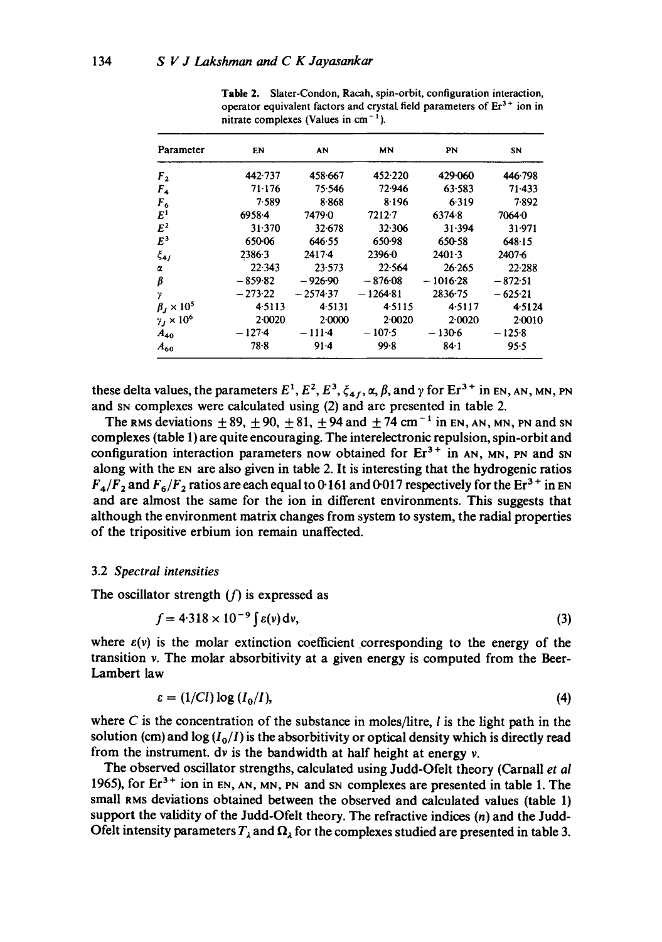| Parameter              | EN        | AN         | MN         | PN          | SN        |
|------------------------|-----------|------------|------------|-------------|-----------|
| F <sub>2</sub>         | 442.737   | 458.667    | 452.220    | 429.060     | 446.798   |
| $F_{4}$                | 71.176    | 75.546     | 72.946     | 63.583      | $71-433$  |
| $F_6$                  | 7.589     | $8 - 868$  | 8.196      | 6.319       | 7.892     |
| E <sup>1</sup>         | 6958.4    | 7479.0     | $7212 - 7$ | 6374.8      | 7064.0    |
| $E^2$                  | 31.370    | $32 - 678$ | 32.306     | 31.394      | 31.971    |
| $E^3$                  | 65006     | 646.55     | 650-98     | 650-58      | 648.15    |
| $\xi_{4f}$             | 2386.3    | $2417-4$   | $2396 - 0$ | $2401 - 3$  | 2407-6    |
| α                      | 22.343    | 23.573     | 22.564     | 26.265      | 22.288    |
| β                      | $-859.82$ | $-926.90$  | $-876.08$  | $-1016.28$  | $-872.51$ |
| γ                      | $-273.22$ | $-2574.37$ | $-1264.81$ | $2836 - 75$ | $-625.21$ |
| $\beta_J \times 10^5$  | 4.5113    | 4.5131     | 4.5115     | 4.5117      | 4.5124    |
| $\gamma_J \times 10^6$ | 2.0020    | $2 - 0000$ | 2.0020     | 2.0020      | 2.0010    |
| $A_{40}$               | $-127-4$  | $-111-4$   | $-107.5$   | $-130-6$    | $-125.8$  |
| $A_{60}$               | $78 - 8$  | $91-4$     | 99.8       | $84 - 1$    | 95.5      |

**Table** 2. Slater-Condon, Racah, spin-orbit, configuration interaction, operator equivalent factors and crystal field parameters of  $Er<sup>3+</sup>$  ion in nitrate complexes (Values in  $cm<sup>-1</sup>$ ).

these delta values, the parameters  $E^1$ ,  $E^2$ ,  $E^3$ ,  $\xi_{4f}$ ,  $\alpha$ ,  $\beta$ , and  $\gamma$  for  $Er^{3+}$  in EN, AN, MN, PN and SN complexes were calculated using (2) and are presented in table 2.

The RMS deviations  $\pm 89$ ,  $\pm 90$ ,  $\pm 81$ ,  $\pm 94$  and  $\pm 74$  cm<sup>-1</sup> in EN, AN, MN, PN and SN complexes (table 1) are quite encouraging. The interelectronic repulsion, spin-orbit and configuration interaction parameters now obtained for  $Er<sup>3+</sup>$  in AN, MN, PN and SN along with the EN are also given in table 2. It is interesting that the hydrogenic ratios  $F_4/F_2$  and  $F_6/F_2$  ratios are each equal to 0-161 and 0-017 respectively for the Er<sup>3+</sup> in EN and are almost the same for the ion in different environments. This suggests that although the environment matrix changes from system to system, the radial properties of the tripositive erbium ion remain unaffected.

## 3.2 *Spectral intensities*

The oscillator strength  $(f)$  is expressed as

$$
f = 4.318 \times 10^{-9} \int \varepsilon(v) \, \mathrm{d}v,\tag{3}
$$

where  $\varepsilon(v)$  is the molar extinction coefficient corresponding to the energy of the transition v. The molar absorbitivity at a given energy is computed from the Beer-Lambert law

$$
\varepsilon = (1/Cl) \log \left( I_0/I \right), \tag{4}
$$

where  $C$  is the concentration of the substance in moles/litre,  $l$  is the light path in the solution (cm) and  $\log$   $(I_0/I)$  is the absorbitivity or optical density which is directly read from the instrument, dv is the bandwidth at half height at energy v.

The observed oscillator strengths, calculated using Judd-Ofelt theory (Carnall *et al*  1965), for  $Er<sup>3+</sup>$  ion in EN, AN, MN, PN and SN complexes are presented in table 1. The small RMS deviations obtained between the observed and calculated values (table 1) support the validity of the Judd-Ofelt theory. The refractive indices  $(n)$  and the Judd-Ofelt intensity parameters  $T_{\lambda}$  and  $\Omega_{\lambda}$  for the complexes studied are presented in table 3.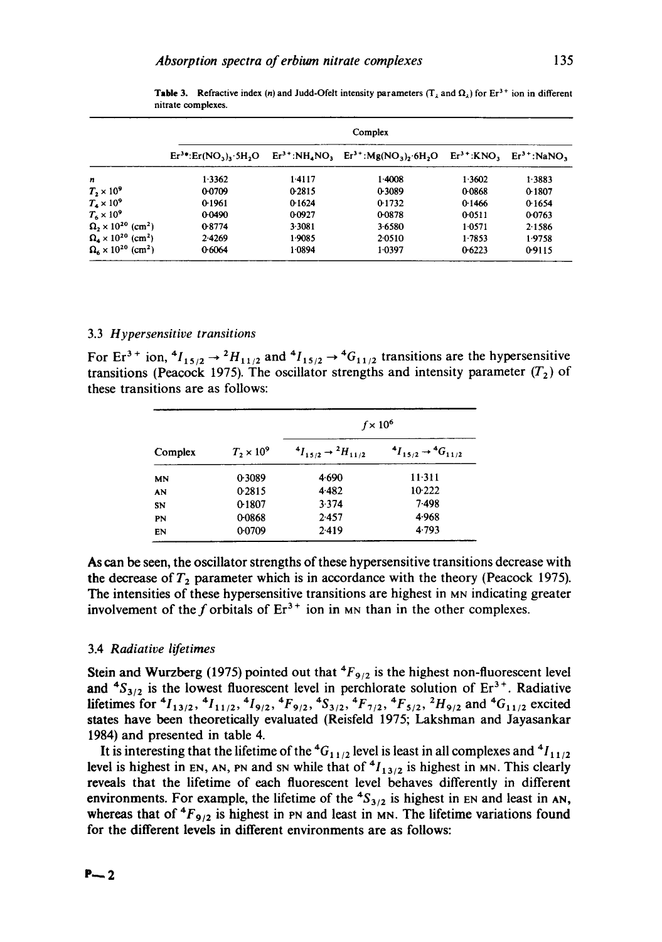|                                              | Complex                 |        |                                                                    |        |              |  |  |
|----------------------------------------------|-------------------------|--------|--------------------------------------------------------------------|--------|--------------|--|--|
|                                              | $Er3+: Er(NO3)$ , 5H, O |        | $Er^{3+} : NH_4NO_3$ $Er^{3+} : Mg(NO_3), 6H_2O$ $Er^{3+} : KNO_3$ |        | $Er3+:NaNO2$ |  |  |
| n                                            | 1.3362                  | 1.4117 | 1.4008                                                             | 1.3602 | 1.3883       |  |  |
| $T_2 \times 10^9$                            | 0.0709                  | 0.2815 | 0.3089                                                             | 0.0868 | 0-1807       |  |  |
| $T_{\rm A} \times 10^9$                      | 0-1961                  | 0.1624 | 0.1732                                                             | 0.1466 | 0.1654       |  |  |
| $T_{\rm s} \times 10^9$                      | 0.0490                  | 0.0927 | 0-0878                                                             | 0.0511 | 0.0763       |  |  |
| $\Omega_2 \times 10^{20}$ (cm <sup>2</sup> ) | 0.8774                  | 3.3081 | 3.6580                                                             | 1.0571 | 2.1586       |  |  |
| $\Omega_4 \times 10^{20}$ (cm <sup>2</sup> ) | 2.4269                  | 1.9085 | 2.0510                                                             | 1.7853 | 1.9758       |  |  |
| $\Omega_6 \times 10^{20}$ (cm <sup>2</sup> ) | 0.6064                  | 1.0894 | 1.0397                                                             | 0-6223 | 0.9115       |  |  |

**Table 3.** Refractive index (n) and Judd-Ofelt intensity parameters ( $T_{\lambda}$  and  $\Omega_{\lambda}$ ) for Er<sup>3+</sup> ion in different nitrate complexes.

#### 3.3 *Hypersensitive transitions*

For Er<sup>3+</sup> ion,  ${}^4I_{15/2} \rightarrow {}^2H_{11/2}$  and  ${}^4I_{15/2} \rightarrow {}^4G_{11/2}$  transitions are the hypersensitive transitions (Peacock 1975). The oscillator strengths and intensity parameter  $(T_2)$  of these transitions are as follows:

|         |                   | $f \times 10^6$                         |                                         |  |  |
|---------|-------------------|-----------------------------------------|-----------------------------------------|--|--|
| Complex | $T_2 \times 10^9$ | $^{4}I_{15/2} \rightarrow ^{2}H_{11/2}$ | $^{4}I_{15/2} \rightarrow ^{4}G_{11/2}$ |  |  |
| MN      | 0.3089            | 4.690                                   | 11-311                                  |  |  |
| AN      | 0.2815            | 4.482                                   | 10.222                                  |  |  |
| SN      | 0-1807            | 3.374                                   | 7.498                                   |  |  |
| PN      | 0-0868            | 2.457                                   | 4.968                                   |  |  |
| EN      | 0.0709            | 2.419                                   | 4.793                                   |  |  |

As can be seen, the oscillator strengths of these hypersensitive transitions decrease with the decrease of  $T_2$  parameter which is in accordance with the theory (Peacock 1975). The intensities of these hypersensitive transitions are highest in MN indicating greater involvement of the f orbitals of  $Er^{3+}$  ion in MN than in the other complexes.

## 3.4 *Radiative lifetimes*

Stein and Wurzberg (1975) pointed out that <sup>4</sup> $F_{9/2}$  is the highest non-fluorescent level and  ${}^{4}S_{3/2}$  is the lowest fluorescent level in perchlorate solution of Er<sup>3+</sup>. Radiative lifetimes for  ${}^4I_{13/2}$ ,  ${}^4I_{11/2}$ ,  ${}^4I_{9/2}$ ,  ${}^4F_{9/2}$ ,  ${}^4S_{3/2}$ ,  ${}^4F_{7/2}$ ,  ${}^4F_{5/2}$ ,  ${}^2H_{9/2}$  and  ${}^4G_{11/2}$  excited states have been theoretically evaluated (Reisfeld 1975; Lakshman and Jayasankar 1984) and presented in table 4.

It is interesting that the lifetime of the  ${}^4G_{11/2}$  level is least in all complexes and  ${}^4I_{11/2}$ level is highest in EN, AN, PN and SN while that of  $^{4}I_{13/2}$  is highest in MN. This clearly reveals that the lifetime of each fluorescent level behaves differently in different environments. For example, the lifetime of the  ${}^{4}S_{3/2}$  is highest in EN and least in AN, whereas that of  ${}^{4}F_{9/2}$  is highest in PN and least in MN. The lifetime variations found for the different levels in different environments are as follows: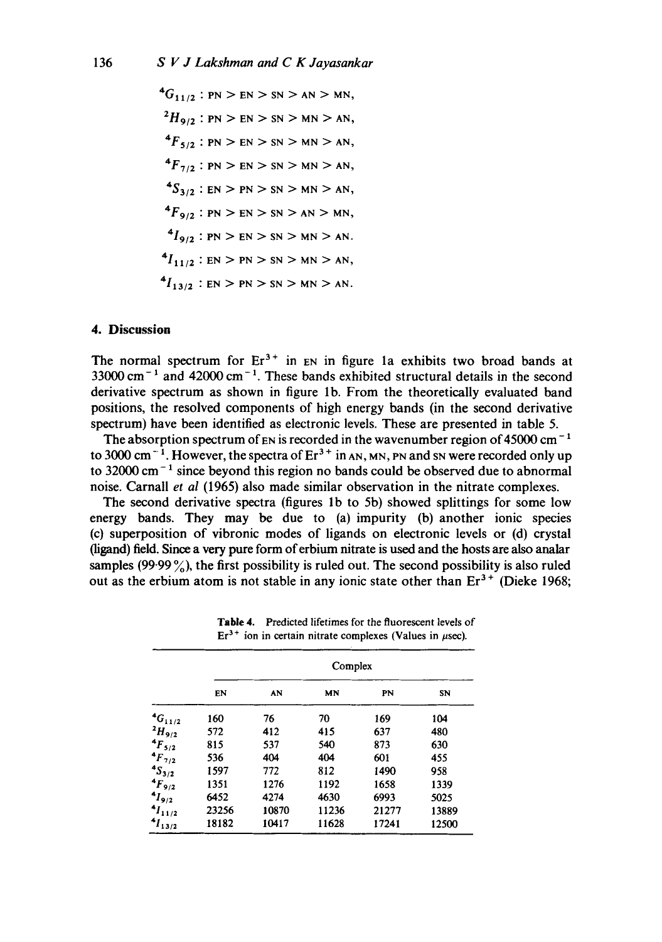${}^4G_{11/2}$  : PN > EN > SN > AN > MN,  $^{2}H_{9/2}$  : PN > EN > SN > MN > AN,  ${}^{4}F_{5/2}$  : PN > EN > SN > MN > AN,  ${}^{4}F_{7/2}$  : PN > EN > SN > MN > AN,  $^{4}S_{3/2}$  : EN > PN > SN > MN > AN,  ${}^{4}F_{9/2}$  : PN > EN > SN > AN > MN,  $^{4}I_{9/2}$  : PN > EN > SN > MN > AN.  $^{4}I_{11/2}$  : EN > PN > SN > MN > AN,  $^{4}I_{13/2}$  : EN > PN > SN > MN > AN.

# **4. Discussion**

The normal spectrum for  $Er^{3+}$  in EN in figure 1a exhibits two broad bands at  $33000 \text{ cm}^{-1}$  and  $42000 \text{ cm}^{-1}$ . These bands exhibited structural details in the second derivative spectrum as shown in figure lb. From the theoretically evaluated band positions, the resolved components of high energy bands (in the second derivative spectrum) have been identified as electronic levels. These are presented in table 5.

The absorption spectrum of  $\text{EN}$  is recorded in the wavenumber region of 45000 cm<sup>-1</sup> to 3000 cm<sup>-1</sup>. However, the spectra of  $Er^{3+}$  in AN, MN, PN and SN were recorded only up to 32000 cm<sup> $-1$ </sup> since beyond this region no bands could be observed due to abnormal noise. Carnall *et al* (1965) also made similar observation in the nitrate complexes.

The second derivative spectra (figures lb to 5b) showed splittings for some low energy bands. They may be due to (a) impurity (b) another ionic species (c) superposition of vibronic modes of ligands on electronic levels or (d) crystal 0igand) field. Since a very pure form of erbium nitrate is used and the hosts are also analar samples  $(99.99\%)$ , the first possibility is ruled out. The second possibility is also ruled out as the erbium atom is not stable in any ionic state other than  $Er^{3+}$  (Dieke 1968;

|                      | Complex |       |       |       |       |  |  |  |
|----------------------|---------|-------|-------|-------|-------|--|--|--|
|                      | EN      | AN    | MN    | PN    | SN    |  |  |  |
| ${}^4G_{11/2}$       | 160     | 76    | 70    | 169   | 104   |  |  |  |
| $^{2}H_{9/2}$        | 572     | 412   | 415   | 637   | 480   |  |  |  |
| $4F_{5/2}$           | 815     | 537   | 540   | 873   | 630   |  |  |  |
| $^{4}F_{7/2}$        | 536     | 404   | 404   | 601   | 455   |  |  |  |
| $\frac{4S_{3/2}}{2}$ | 1597    | 772   | 812   | 1490  | 958   |  |  |  |
| $4F_{9/2}$           | 1351    | 1276  | 1192  | 1658  | 1339  |  |  |  |
| $4I_{9/2}$           | 6452    | 4274  | 4630  | 6993  | 5025  |  |  |  |
| $1_{11/2}$           | 23256   | 10870 | 11236 | 21277 | 13889 |  |  |  |
| $1_{13/2}$           | 18182   | 10417 | 11628 | 17241 | 12500 |  |  |  |

Table 4. Predicted lifetimes for the fluorescent levels of  $Er<sup>3+</sup>$  ion in certain nitrate complexes (Values in  $\mu$ sec).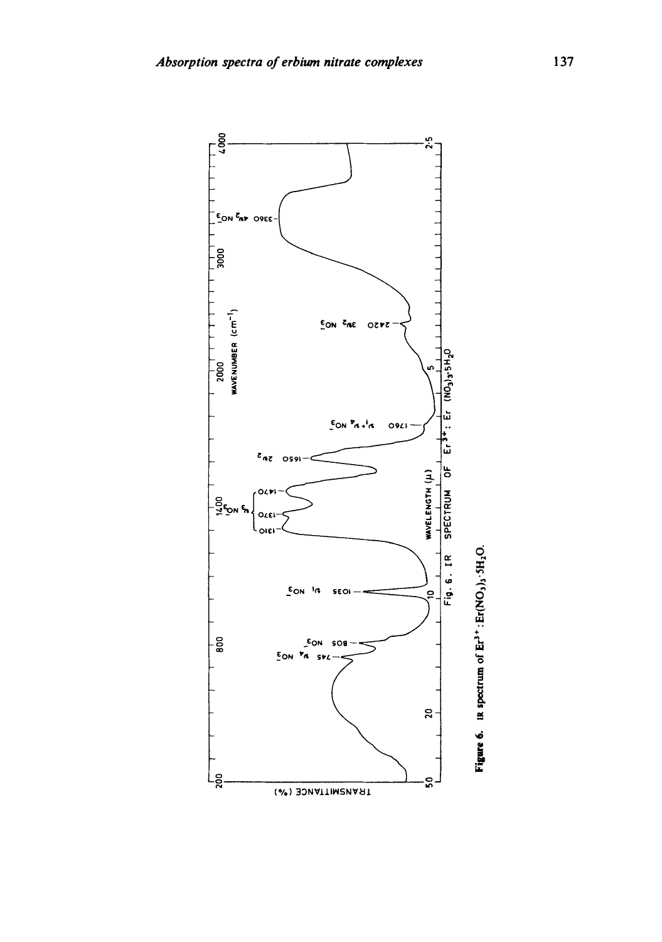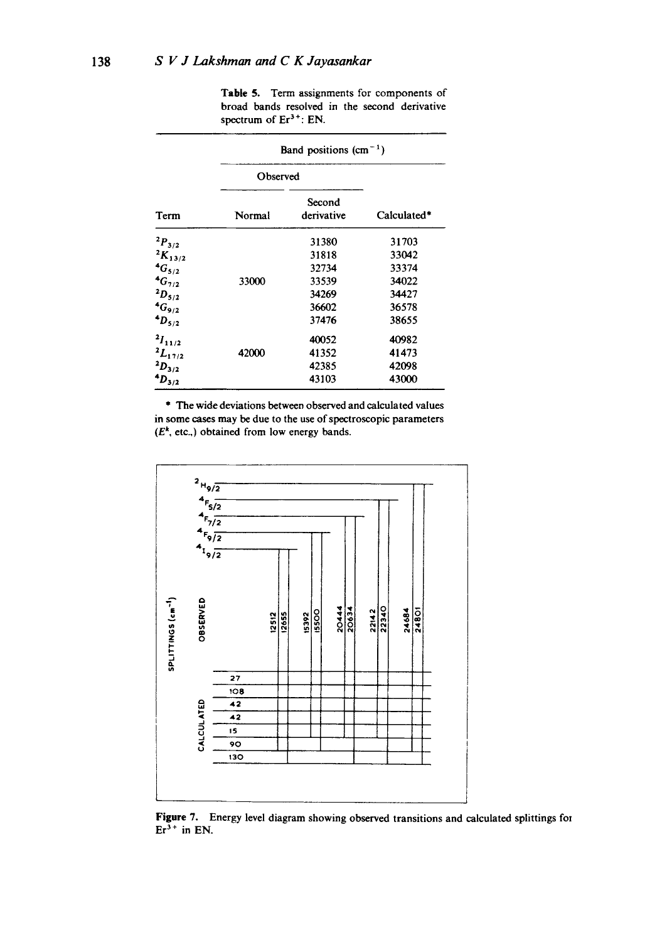**Table** 5. Term assignments for components of broad bands resolved in the second derivative spectrum of  $Er<sup>3+</sup>$ : EN.

|                  | Band positions $(cm-1)$ |                      |             |  |  |  |
|------------------|-------------------------|----------------------|-------------|--|--|--|
|                  | Observed                |                      |             |  |  |  |
| Term             | Normal                  | Second<br>derivative | Calculated* |  |  |  |
| $^{2}P_{3/2}$    |                         | 31380                | 31703       |  |  |  |
| ${}^{2}K_{13/2}$ |                         | 31818                | 33042       |  |  |  |
| ${}^{4}G_{5/2}$  |                         | 32734                | 33374       |  |  |  |
| ${}^{4}G_{7/2}$  | 33000                   | 33539                | 34022       |  |  |  |
| $^{2}D_{5/2}$    |                         | 34269                | 34427       |  |  |  |
| $4G_{9/2}$       |                         | 36602                | 36578       |  |  |  |
| $4D_{5/2}$       |                         | 37476                | 38655       |  |  |  |
| $^{2}I_{11/2}$   |                         | 40052                | 40982       |  |  |  |
| $^{2}L_{17/2}$   | 42000                   | 41352                | 41473       |  |  |  |
| $^{2}D_{3/2}$    |                         | 42385                | 42098       |  |  |  |
| $^{4}D_{3/2}$    |                         | 43103                | 43000       |  |  |  |

\* The wide deviations between observed and calculated values in some cases may be due to the use of spectroscopic parameters *(Ek,* etc.,) obtained from low energy bands.



**Figure** 7. Energy level diagram showing observed transitions and calculated splittings for  $Er^{3+}$  in EN.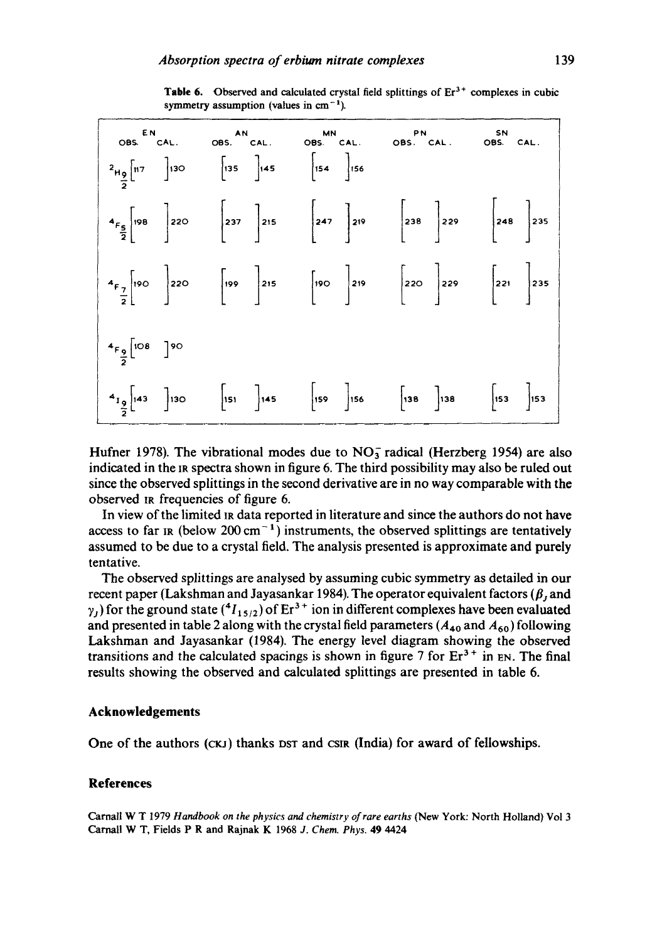|                                                                                                                          |                                              |                                                        | EN AN MIN PIN SIN<br>OBS. CAL. OBS. CAL. OBS. CAL. OBS. CAL. OBS. CAL.                                                                                                                  |  |
|--------------------------------------------------------------------------------------------------------------------------|----------------------------------------------|--------------------------------------------------------|-----------------------------------------------------------------------------------------------------------------------------------------------------------------------------------------|--|
|                                                                                                                          | $\begin{bmatrix} 135 \\ 1 \end{bmatrix}$ 145 | $\begin{array}{ c c }\n\hline\n154 & 156\n\end{array}$ |                                                                                                                                                                                         |  |
| $4_{F_{\frac{5}{2}}}\Bigg[198\Bigg]220\Bigg[237\Bigg]215\Bigg]215\Bigg[247\Bigg]219\Bigg[238\Bigg]229\Bigg[248\Bigg]235$ |                                              |                                                        |                                                                                                                                                                                         |  |
| $4F_{\frac{7}{2}}$ 190 220 199 215 190 219 220 229 221 235                                                               |                                              |                                                        |                                                                                                                                                                                         |  |
| $4F \frac{1}{2}$ [108 ] 90                                                                                               |                                              |                                                        |                                                                                                                                                                                         |  |
| $4 \frac{19}{4}$ [143 ] 130                                                                                              |                                              |                                                        | $\begin{bmatrix} 151 & 145 \end{bmatrix}$ 145 $\begin{bmatrix} 159 & 156 \end{bmatrix}$ 156 $\begin{bmatrix} 138 & 138 \end{bmatrix}$ 138 $\begin{bmatrix} 153 & 153 \end{bmatrix}$ 153 |  |

Table 6. Observed and calculated crystal field splittings of  $Er<sup>3+</sup>$  complexes in cubic symmetry assumption (values in  $cm^{-1}$ ).

Hufner 1978). The vibrational modes due to  $NO<sub>3</sub><sup>-</sup>$  radical (Herzberg 1954) are also indicated in the IR spectra shown in figure 6. The third possibility may also be ruled out since the observed splittings in the second derivative are in no way comparable with the observed IR frequencies of figure 6.

In view of the limited IR data reported in literature and since the authors do not have access to far IR (below 200 cm<sup> $-1$ </sup>) instruments, the observed splittings are tentatively assumed to be due to a crystal field. The analysis presented is approximate and purely tentative.

The observed splittings are analysed by assuming cubic symmetry as detailed in our recent paper (Lakshman and Jayasankar 1984). The operator equivalent factors ( $\beta$ , and  $\gamma_1$ ) for the ground state ( ${}^4I_{15/2}$ ) of Er<sup>3+</sup> ion in different complexes have been evaluated and presented in table 2 along with the crystal field parameters ( $A_{40}$  and  $A_{60}$ ) following Lakshman and Jayasankar (1984). The energy level diagram showing the observed transitions and the calculated spacings is shown in figure 7 for  $Er^{3+}$  in  $En.$  The final results showing the observed and calculated splittings are presented in table 6.

## **Acknowledgements**

One of the authors (CKJ) thanks DST and CSIR (India) for award of fellowships.

#### **References**

Carnall W T 1979 *Handbook on the physics and chemistry of rare earths* (New York: North Holland) Vol 3 Carnall W T, Fields P R and Rajnak K 1968 *J. Chem. Phys.* 49 4424